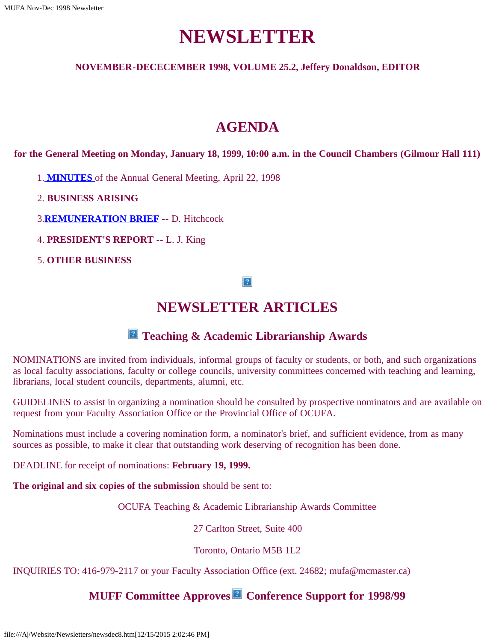# **NEWSLETTER**

### **NOVEMBER-DECECEMBER 1998, VOLUME 25.2, Jeffery Donaldson, EDITOR**

# **AGENDA**

**for the General Meeting on Monday, January 18, 1999, 10:00 a.m. in the Council Chambers (Gilmour Hall 111)**

1. **[MINUTES](file:///A|/Website/Newsletters/min98a.htm)** of the Annual General Meeting, April 22, 1998

- 2. **BUSINESS ARISING**
- 3.**[REMUNERATION BRIEF](file:///A|/Website/Newsletters/brief98.htm)** -- D. Hitchcock
- 4. **PRESIDENT'S REPORT** -- L. J. King
- 5. **OTHER BUSINESS**

#### $|2|$

### **NEWSLETTER ARTICLES**

### $\blacksquare$  Teaching & Academic Librarianship Awards

NOMINATIONS are invited from individuals, informal groups of faculty or students, or both, and such organizations as local faculty associations, faculty or college councils, university committees concerned with teaching and learning, librarians, local student councils, departments, alumni, etc.

GUIDELINES to assist in organizing a nomination should be consulted by prospective nominators and are available on request from your Faculty Association Office or the Provincial Office of OCUFA.

Nominations must include a covering nomination form, a nominator's brief, and sufficient evidence, from as many sources as possible, to make it clear that outstanding work deserving of recognition has been done.

DEADLINE for receipt of nominations: **February 19, 1999.**

**The original and six copies of the submission** should be sent to:

OCUFA Teaching & Academic Librarianship Awards Committee

27 Carlton Street, Suite 400

Toronto, Ontario M5B 1L2

INQUIRIES TO: 416-979-2117 or your Faculty Association Office (ext. 24682; mufa@mcmaster.ca)

### **MUFF Committee Approves Conference Support for 1998/99**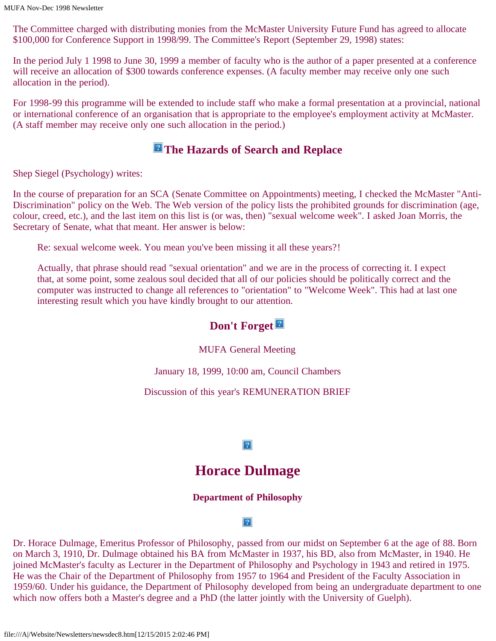The Committee charged with distributing monies from the McMaster University Future Fund has agreed to allocate \$100,000 for Conference Support in 1998/99. The Committee's Report (September 29, 1998) states:

In the period July 1 1998 to June 30, 1999 a member of faculty who is the author of a paper presented at a conference will receive an allocation of \$300 towards conference expenses. (A faculty member may receive only one such allocation in the period).

For 1998-99 this programme will be extended to include staff who make a formal presentation at a provincial, national or international conference of an organisation that is appropriate to the employee's employment activity at McMaster. (A staff member may receive only one such allocation in the period.)

### **The Hazards of Search and Replace**

Shep Siegel (Psychology) writes:

In the course of preparation for an SCA (Senate Committee on Appointments) meeting, I checked the McMaster "Anti-Discrimination" policy on the Web. The Web version of the policy lists the prohibited grounds for discrimination (age, colour, creed, etc.), and the last item on this list is (or was, then) "sexual welcome week". I asked Joan Morris, the Secretary of Senate, what that meant. Her answer is below:

Re: sexual welcome week. You mean you've been missing it all these years?!

Actually, that phrase should read "sexual orientation" and we are in the process of correcting it. I expect that, at some point, some zealous soul decided that all of our policies should be politically correct and the computer was instructed to change all references to "orientation" to "Welcome Week". This had at last one interesting result which you have kindly brought to our attention.

### **Don't Forget**

### MUFA General Meeting

January 18, 1999, 10:00 am, Council Chambers

Discussion of this year's REMUNERATION BRIEF

### $\overline{?}$

## **Horace Dulmage**

### **Department of Philosophy**

#### $|2|$

Dr. Horace Dulmage, Emeritus Professor of Philosophy, passed from our midst on September 6 at the age of 88. Born on March 3, 1910, Dr. Dulmage obtained his BA from McMaster in 1937, his BD, also from McMaster, in 1940. He joined McMaster's faculty as Lecturer in the Department of Philosophy and Psychology in 1943 and retired in 1975. He was the Chair of the Department of Philosophy from 1957 to 1964 and President of the Faculty Association in 1959/60. Under his guidance, the Department of Philosophy developed from being an undergraduate department to one which now offers both a Master's degree and a PhD (the latter jointly with the University of Guelph).